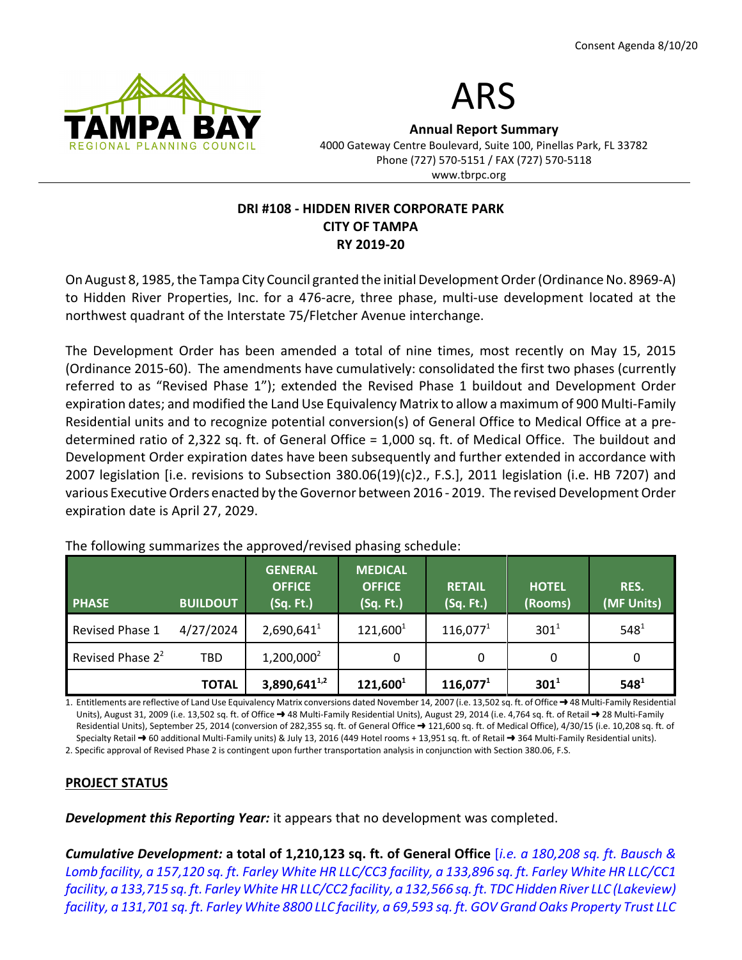



Annual Report Summary

4000 Gateway Centre Boulevard, Suite 100, Pinellas Park, FL 33782 Phone (727) 570-5151 / FAX (727) 570-5118 www.tbrpc.org

### DRI #108 - HIDDEN RIVER CORPORATE PARK CITY OF TAMPA RY 2019-20

On August 8, 1985, the Tampa City Council granted the initial Development Order (Ordinance No. 8969-A) to Hidden River Properties, Inc. for a 476-acre, three phase, multi-use development located at the northwest quadrant of the Interstate 75/Fletcher Avenue interchange.

The Development Order has been amended a total of nine times, most recently on May 15, 2015 (Ordinance 2015-60). The amendments have cumulatively: consolidated the first two phases (currently referred to as "Revised Phase 1"); extended the Revised Phase 1 buildout and Development Order expiration dates; and modified the Land Use Equivalency Matrix to allow a maximum of 900 Multi-Family Residential units and to recognize potential conversion(s) of General Office to Medical Office at a predetermined ratio of 2,322 sq. ft. of General Office = 1,000 sq. ft. of Medical Office. The buildout and Development Order expiration dates have been subsequently and further extended in accordance with 2007 legislation [i.e. revisions to Subsection 380.06(19)(c)2., F.S.], 2011 legislation (i.e. HB 7207) and various Executive Orders enacted by the Governor between 2016 - 2019. The revised Development Order expiration date is April 27, 2029.

| <b>PHASE</b>        | <b>BUILDOUT</b> | <b>GENERAL</b><br><b>OFFICE</b><br>(Sq. Ft.) | <b>MEDICAL</b><br><b>OFFICE</b><br>(Sq. Ft.) | <b>RETAIL</b><br>(Sq. Ft.) | <b>HOTEL</b><br>(Rooms) | RES.<br>(MF Units) |
|---------------------|-----------------|----------------------------------------------|----------------------------------------------|----------------------------|-------------------------|--------------------|
| Revised Phase 1     | 4/27/2024       | $2,690,641^1$                                | $121,600^1$                                  | $116,077^1$                | $301^{1}$               | $548^{1}$          |
| Revised Phase $2^2$ | <b>TBD</b>      | $1,200,000^2$                                | 0                                            | 0                          | 0                       | 0                  |
|                     | <b>TOTAL</b>    | $3,890,641^{1,2}$                            | $121,600^1$                                  | $116,077^1$                | $301^1$                 | $548^{1}$          |

The following summarizes the approved/revised phasing schedule:

1. Entitlements are reflective of Land Use Equivalency Matrix conversions dated November 14, 2007 (i.e. 13,502 sq. ft. of Office  $\rightarrow$  48 Multi-Family Residential Units), August 31, 2009 (i.e. 13,502 sq. ft. of Office → 48 Multi-Family Residential Units), August 29, 2014 (i.e. 4,764 sq. ft. of Retail → 28 Multi-Family Residential Units), September 25, 2014 (conversion of 282,355 sq. ft. of General Office  $\rightarrow$  121,600 sq. ft. of Medical Office), 4/30/15 (i.e. 10,208 sq. ft. of Specialty Retail  $\rightarrow$  60 additional Multi-Family units) & July 13, 2016 (449 Hotel rooms + 13,951 sq. ft. of Retail  $\rightarrow$  364 Multi-Family Residential units).

2. Specific approval of Revised Phase 2 is contingent upon further transportation analysis in conjunction with Section 380.06, F.S.

## PROJECT STATUS

**Development this Reporting Year:** it appears that no development was completed.

Cumulative Development: a total of 1,210,123 sq. ft. of General Office *[i.e. a 180,208 sq. ft. Bausch &* Lomb facility, a 157,120 sq. ft. Farley White HR LLC/CC3 facility, a 133,896 sq. ft. Farley White HR LLC/CC1 facility, a 133,715 sq. ft. Farley White HR LLC/CC2 facility, a 132,566 sq. ft. TDC Hidden River LLC (Lakeview) facility, a 131,701 sq. ft. Farley White 8800 LLC facility, a 69,593 sq. ft. GOV Grand Oaks Property Trust LLC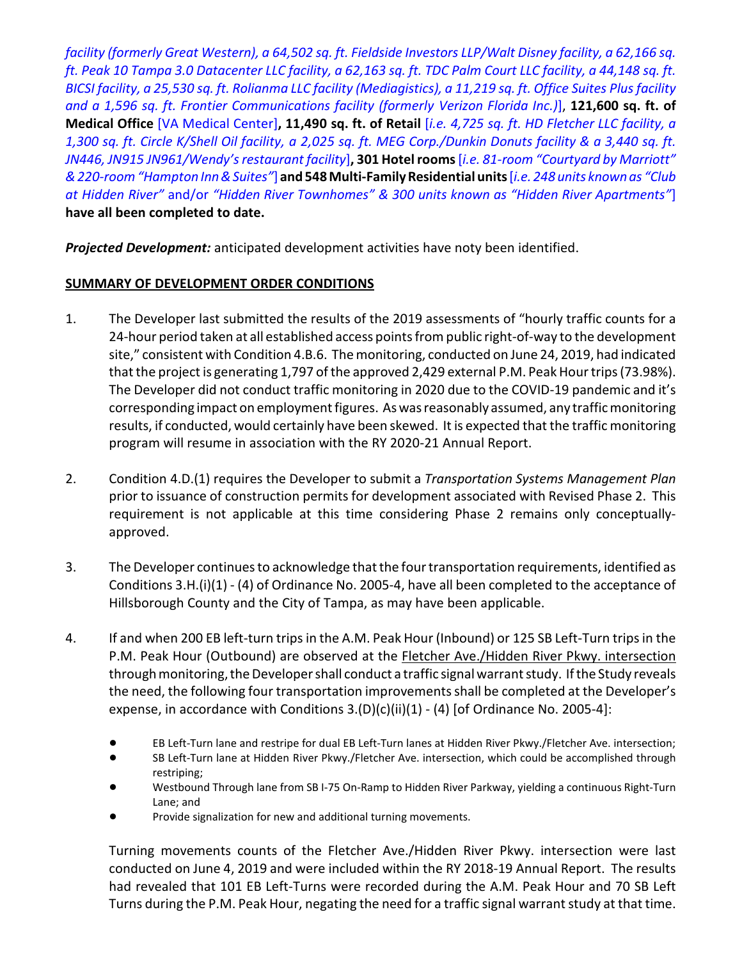facility (formerly Great Western), a 64,502 sq. ft. Fieldside Investors LLP/Walt Disney facility, a 62,166 sq. ft. Peak 10 Tampa 3.0 Datacenter LLC facility, a 62,163 sq. ft. TDC Palm Court LLC facility, a 44,148 sq. ft. BICSI facility, a 25,530 sq. ft. Rolianma LLC facility (Mediagistics), a 11,219 sq. ft. Office Suites Plus facility and a 1,596 sq. ft. Frontier Communications facility (formerly Verizon Florida Inc.)], 121,600 sq. ft. of Medical Office [VA Medical Center], 11,490 sq. ft. of Retail [i.e. 4,725 sq. ft. HD Fletcher LLC facility, a 1,300 sq. ft. Circle K/Shell Oil facility, a 2,025 sq. ft. MEG Corp./Dunkin Donuts facility & a 3,440 sq. ft. JN446, JN915 JN961/Wendy's restaurant facility], 301 Hotel rooms [i.e. 81-room "Courtyard by Marriott" & 220-room "Hampton Inn & Suites"] and 548 Multi-Family Residential units [i.e. 248 units known as "Club at Hidden River" and/or "Hidden River Townhomes" & 300 units known as "Hidden River Apartments"] have all been completed to date.

Projected Development: anticipated development activities have noty been identified.

# SUMMARY OF DEVELOPMENT ORDER CONDITIONS

- 1. The Developer last submitted the results of the 2019 assessments of "hourly traffic counts for a 24-hour period taken at all established access points from public right-of-way to the development site," consistent with Condition 4.B.6. The monitoring, conducted on June 24, 2019, had indicated that the project is generating 1,797 of the approved 2,429 external P.M. Peak Hour trips (73.98%). The Developer did not conduct traffic monitoring in 2020 due to the COVID-19 pandemic and it's corresponding impact on employment figures. As was reasonably assumed, any traffic monitoring results, if conducted, would certainly have been skewed. It is expected that the traffic monitoring program will resume in association with the RY 2020-21 Annual Report.
- 2. Condition 4.D.(1) requires the Developer to submit a Transportation Systems Management Plan prior to issuance of construction permits for development associated with Revised Phase 2. This requirement is not applicable at this time considering Phase 2 remains only conceptuallyapproved.
- 3. The Developer continues to acknowledge that the four transportation requirements, identified as Conditions 3.H.(i)(1) - (4) of Ordinance No. 2005-4, have all been completed to the acceptance of Hillsborough County and the City of Tampa, as may have been applicable.
- 4. If and when 200 EB left-turn trips in the A.M. Peak Hour (Inbound) or 125 SB Left-Turn trips in the P.M. Peak Hour (Outbound) are observed at the Fletcher Ave./Hidden River Pkwy. intersection through monitoring, the Developer shall conduct a traffic signal warrant study. If the Study reveals the need, the following four transportation improvements shall be completed at the Developer's expense, in accordance with Conditions  $3.(D)(c)(ii)(1) - (4)$  [of Ordinance No. 2005-4]:
	- ! EB Left-Turn lane and restripe for dual EB Left-Turn lanes at Hidden River Pkwy./Fletcher Ave. intersection;
	- ! SB Left-Turn lane at Hidden River Pkwy./Fletcher Ave. intersection, which could be accomplished through restriping;
	- Westbound Through lane from SB I-75 On-Ramp to Hidden River Parkway, yielding a continuous Right-Turn Lane; and
	- Provide signalization for new and additional turning movements.

Turning movements counts of the Fletcher Ave./Hidden River Pkwy. intersection were last conducted on June 4, 2019 and were included within the RY 2018-19 Annual Report. The results had revealed that 101 EB Left-Turns were recorded during the A.M. Peak Hour and 70 SB Left Turns during the P.M. Peak Hour, negating the need for a traffic signal warrant study at that time.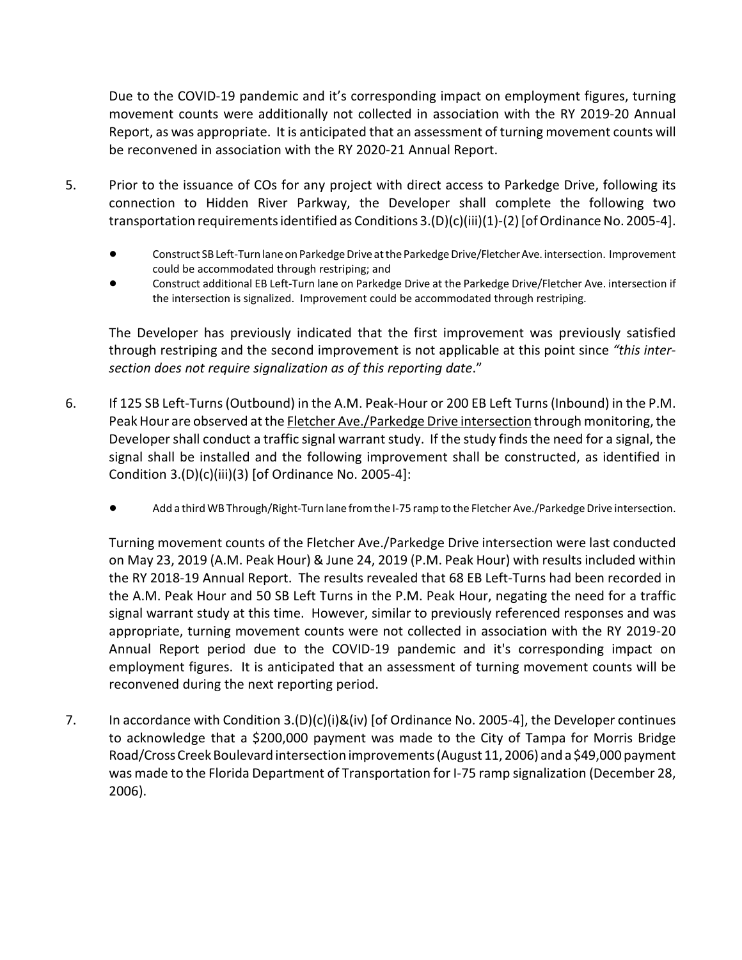Due to the COVID-19 pandemic and it's corresponding impact on employment figures, turning movement counts were additionally not collected in association with the RY 2019-20 Annual Report, as was appropriate. It is anticipated that an assessment of turning movement counts will be reconvened in association with the RY 2020-21 Annual Report.

- 5. Prior to the issuance of COs for any project with direct access to Parkedge Drive, following its connection to Hidden River Parkway, the Developer shall complete the following two transportation requirements identified as Conditions 3.(D)(c)(iii)(1)-(2) [of Ordinance No. 2005-4].
	- ! Construct SB Left-Turn lane on Parkedge Drive at the Parkedge Drive/Fletcher Ave. intersection. Improvement could be accommodated through restriping; and
	- ! Construct additional EB Left-Turn lane on Parkedge Drive at the Parkedge Drive/Fletcher Ave. intersection if the intersection is signalized. Improvement could be accommodated through restriping.

The Developer has previously indicated that the first improvement was previously satisfied through restriping and the second improvement is not applicable at this point since "this intersection does not require signalization as of this reporting date."

- 6. If 125 SB Left-Turns (Outbound) in the A.M. Peak-Hour or 200 EB Left Turns (Inbound) in the P.M. Peak Hour are observed at the Fletcher Ave./Parkedge Drive intersection through monitoring, the Developer shall conduct a traffic signal warrant study. If the study finds the need for a signal, the signal shall be installed and the following improvement shall be constructed, as identified in Condition 3.(D)(c)(iii)(3) [of Ordinance No. 2005-4]:
	- ! Add a third WB Through/Right-Turn lane from the I-75 ramp to the Fletcher Ave./Parkedge Drive intersection.

Turning movement counts of the Fletcher Ave./Parkedge Drive intersection were last conducted on May 23, 2019 (A.M. Peak Hour) & June 24, 2019 (P.M. Peak Hour) with results included within the RY 2018-19 Annual Report. The results revealed that 68 EB Left-Turns had been recorded in the A.M. Peak Hour and 50 SB Left Turns in the P.M. Peak Hour, negating the need for a traffic signal warrant study at this time. However, similar to previously referenced responses and was appropriate, turning movement counts were not collected in association with the RY 2019-20 Annual Report period due to the COVID-19 pandemic and it's corresponding impact on employment figures. It is anticipated that an assessment of turning movement counts will be reconvened during the next reporting period.

7. In accordance with Condition 3.(D)(c)(i)&(iv) [of Ordinance No. 2005-4], the Developer continues to acknowledge that a \$200,000 payment was made to the City of Tampa for Morris Bridge Road/Cross Creek Boulevard intersection improvements (August 11, 2006) and a \$49,000 payment was made to the Florida Department of Transportation for I-75 ramp signalization (December 28, 2006).